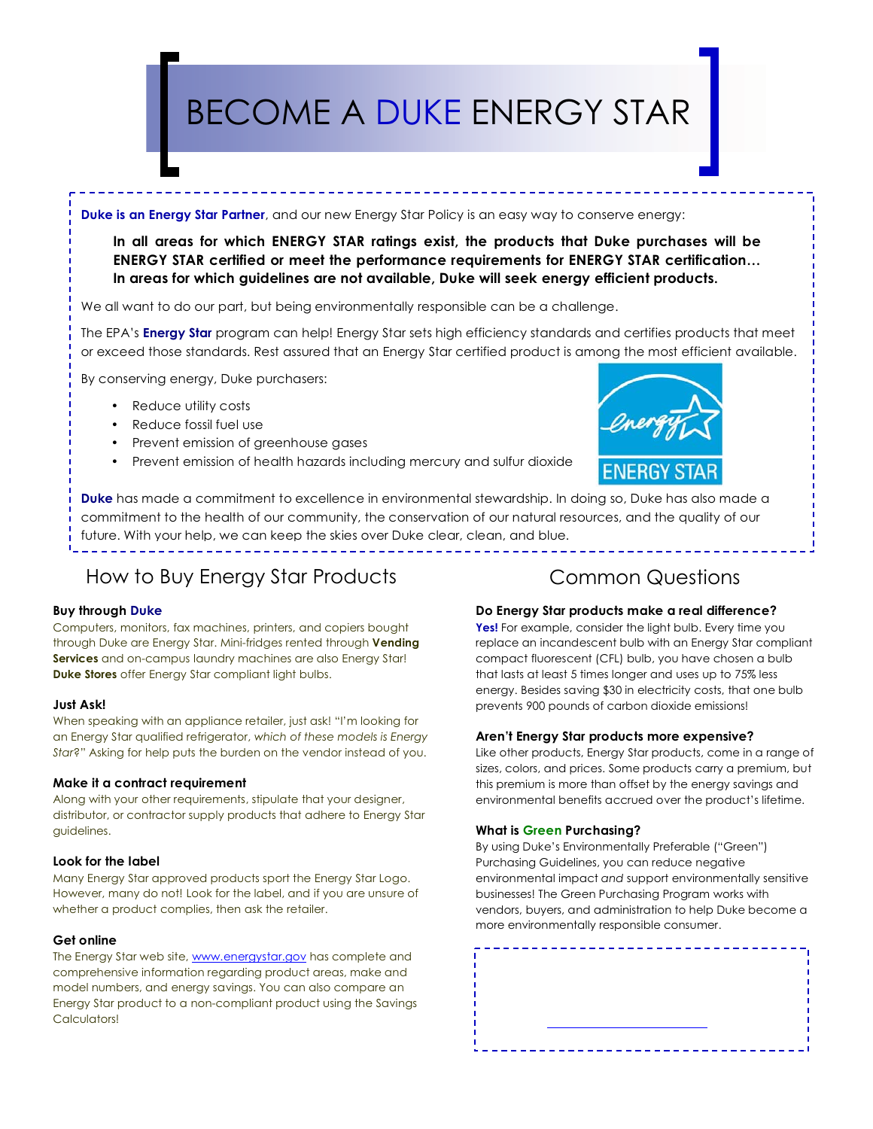# BECOME A DUKE ENERGY STAR

#### **Duke is an Energy Star Partner**, and our new Energy Star Policy is an easy way to conserve energy:

**In all areas for which ENERGY STAR ratings exist, the products that Duke purchases will be ENERGY STAR certified or meet the performance requirements for ENERGY STAR certification… In areas for which guidelines are not available, Duke will seek energy efficient products.**

We all want to do our part, but being environmentally responsible can be a challenge.

The EPA's **Energy Star** program can help! Energy Star sets high efficiency standards and certifies products that meet or exceed those standards. Rest assured that an Energy Star certified product is among the most efficient available.

By conserving energy, Duke purchasers:

- Reduce utility costs
- Reduce fossil fuel use
- Prevent emission of greenhouse gases
- Prevent emission of health hazards including mercury and sulfur dioxide



**Duke** has made a commitment to excellence in environmental stewardship. In doing so, Duke has also made a commitment to the health of our community, the conservation of our natural resources, and the quality of our future. With your help, we can keep the skies over Duke clear, clean, and blue.

## How to Buy Energy Star Products

#### **Buy through Duke**

Computers, monitors, fax machines, printers, and copiers bought through Duke are Energy Star. Mini-fridges rented through **Vending Services** and on-campus laundry machines are also Energy Star! **Duke Stores** offer Energy Star compliant light bulbs.

#### **Just Ask!**

When speaking with an appliance retailer, just ask! "I'm looking for an Energy Star qualified refrigerator, *which of these models is Energy Star*?" Asking for help puts the burden on the vendor instead of you.

#### **Make it a contract requirement**

Along with your other requirements, stipulate that your designer, distributor, or contractor supply products that adhere to Energy Star guidelines.

#### **Look for the label**

Many Energy Star approved products sport the Energy Star Logo. However, many do not! Look for the label, and if you are unsure of whether a product complies, then ask the retailer.

#### **Get online**

The Energy Star web site, www.energystar.gov has complete and comprehensive information regarding product areas, make and model numbers, and energy savings. You can also compare an Energy Star product to a non-compliant product using the Savings Calculators!

## Common Questions

#### **Do Energy Star products make a real difference?**

**Yes!** For example, consider the light bulb. Every time you replace an incandescent bulb with an Energy Star compliant compact fluorescent (CFL) bulb, you have chosen a bulb that lasts at least 5 times longer and uses up to 75% less energy. Besides saving \$30 in electricity costs, that one bulb prevents 900 pounds of carbon dioxide emissions!

#### **Aren't Energy Star products more expensive?**

Like other products, Energy Star products, come in a range of sizes, colors, and prices. Some products carry a premium, but this premium is more than offset by the energy savings and environmental benefits accrued over the product's lifetime.

#### **What is Green Purchasing?**

By using Duke's Environmentally Preferable ("Green") Purchasing Guidelines, you can reduce negative environmental impact *and* support environmentally sensitive businesses! The Green Purchasing Program works with vendors, buyers, and administration to help Duke become a more environmentally responsible consumer.